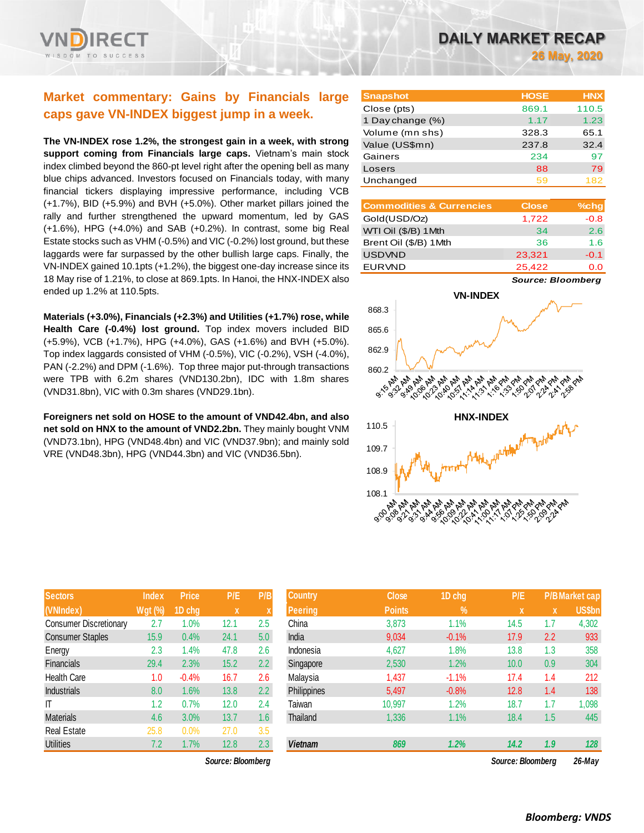# **Market commentary: Gains by Financials large caps gave VN-INDEX biggest jump in a week.**

**The VN-INDEX rose 1.2%, the strongest gain in a week, with strong support coming from Financials large caps.** Vietnam's main stock index climbed beyond the 860-pt level right after the opening bell as many blue chips advanced. Investors focused on Financials today, with many financial tickers displaying impressive performance, including VCB (+1.7%), BID (+5.9%) and BVH (+5.0%). Other market pillars joined the rally and further strengthened the upward momentum, led by GAS (+1.6%), HPG (+4.0%) and SAB (+0.2%). In contrast, some big Real Estate stocks such as VHM (-0.5%) and VIC (-0.2%) lost ground, but these laggards were far surpassed by the other bullish large caps. Finally, the VN-INDEX gained 10.1pts (+1.2%), the biggest one-day increase since its 18 May rise of 1.21%, to close at 869.1pts. In Hanoi, the HNX-INDEX also ended up 1.2% at 110.5pts.

**Materials (+3.0%), Financials (+2.3%) and Utilities (+1.7%) rose, while Health Care (-0.4%) lost ground.** Top index movers included BID (+5.9%), VCB (+1.7%), HPG (+4.0%), GAS (+1.6%) and BVH (+5.0%). Top index laggards consisted of VHM (-0.5%), VIC (-0.2%), VSH (-4.0%), PAN (-2.2%) and DPM (-1.6%). Top three major put-through transactions were TPB with 6.2m shares (VND130.2bn), IDC with 1.8m shares (VND31.8bn), VIC with 0.3m shares (VND29.1bn).

**Foreigners net sold on HOSE to the amount of VND42.4bn, and also**  net sold on HNX to the amount of VND2.2bn. They mainly bought VNM (VND73.1bn), HPG (VND48.4bn) and VIC (VND37.9bn); and mainly sold VRE (VND48.3bn), HPG (VND44.3bn) and VIC (VND36.5bn).

| <b>Sectors</b>                | <b>Index</b>   | <b>Price</b> | P/E  | P/B              |
|-------------------------------|----------------|--------------|------|------------------|
| (VNIndex)                     | <b>Wgt (%)</b> | 1D chg       | X    | X                |
| <b>Consumer Discretionary</b> | 2.7            | 1.0%         | 12.1 | 2.5              |
| <b>Consumer Staples</b>       | 15.9           | 0.4%         | 24.1 | 5.0              |
| Energy                        | 2.3            | 1.4%         | 47.8 | 2.6              |
| <b>Financials</b>             | 29.4           | 2.3%         | 15.2 | 2.2              |
| Health Care                   | 1.0            | $-0.4%$      | 16.7 | 2.6              |
| <b>Industrials</b>            | 8.0            | 1.6%         | 13.8 | $2.2\phantom{0}$ |
| IT                            | 1.2            | 0.7%         | 12.0 | 2.4              |
| <b>Materials</b>              | 4.6            | 3.0%         | 13.7 | 1.6              |
| Real Estate                   | 25.8           | 0.0%         | 27.0 | 3.5              |
| <b>Utilities</b>              | 7.2            | 1.7%         | 12.8 | 2.3              |

*Source: Bloomberg Source: Bloomberg 26-May*

| <b>Snapshot</b>  | <b>HOSE</b> | <b>HNX</b> |
|------------------|-------------|------------|
| Close (pts)      | 869.1       | 110.5      |
| 1 Day change (%) | 1.17        | 1.23       |
| Volume (mn shs)  | 328.3       | 65.1       |
| Value (US\$mn)   | 237.8       | 32.4       |
| Gainers          | 234         | 97         |
| Losers           | 88          | 79         |
| Unchanged        | 59          | 182        |

| <b>Commodities &amp; Currencies</b> | <b>Close</b> | $%$ chg |
|-------------------------------------|--------------|---------|
| Gold(USD/Oz)                        | 1,722        | $-0.8$  |
| WTI Oil (\$/B) 1Mth                 | 34           | 2.6     |
| Brent Oil (\$/B) 1Mth               | 36           | 1.6     |
| <b>USDVND</b>                       | 23.321       | $-0.1$  |
| <b>EURVND</b>                       | 25.422       | 0.0     |

*Source: Bloomberg*



| <b>Sectors</b>                | <b>Index</b>   | <b>Price</b> | P/E               | P/B           | <b>Country</b> | <b>Close</b>  | 1D chg        | P/E               |             | <b>P/BMarket cap</b> |
|-------------------------------|----------------|--------------|-------------------|---------------|----------------|---------------|---------------|-------------------|-------------|----------------------|
| (VNIndex)                     | <b>Wgt (%)</b> | 1D chg       | $\mathbf x$       |               | <b>Peering</b> | <b>Points</b> | $\frac{9}{6}$ | <b>X</b>          | $\mathbf x$ | US\$bn               |
| <b>Consumer Discretionary</b> | 2.7            | .0%          | 12.1              | 2.5           | China          | 3,873         | 1.1%          | 14.5              | 1.7         | 4,302                |
| <b>Consumer Staples</b>       | 15.9           | 0.4%         | 24.1              | 5.0           | India          | 9,034         | $-0.1%$       | 17.9              | 2.2         | 933                  |
| Energy                        | 2.3            | .4%          | 47.8              | 2.6           | Indonesia      | 4,627         | 1.8%          | 13.8              | 1.3         | 358                  |
| <b>Financials</b>             | 29.4           | 2.3%         | 15.2              | $2.2^{\circ}$ | Singapore      | 2,530         | 1.2%          | 10.0              | 0.9         | 304                  |
| Health Care                   | 1.0            | $-0.4%$      | 16.7              | 2.6           | Malaysia       | 1,437         | $-1.1%$       | 17.4              | 1.4         | 212                  |
| <b>Industrials</b>            | 8.0            | 1.6%         | 13.8              | $2.2^{\circ}$ | Philippines    | 5,497         | $-0.8%$       | 12.8              | 1.4         | 138                  |
| ΙT                            | 1.2            | 0.7%         | 12.0              | 2.4           | Taiwan         | 10,997        | 1.2%          | 18.7              | 1.7         | 1,098                |
| <b>Materials</b>              | 4.6            | 3.0%         | 13.7              | 1.6           | Thailand       | 1,336         | 1.1%          | 18.4              | 1.5         | 445                  |
| Real Estate                   | 25.8           | 0.0%         | 27.0              | 3.5           |                |               |               |                   |             |                      |
| <b>Utilities</b>              | 7.2            | 1.7%         | 12.8              | 2.3           | <b>Vietnam</b> | 869           | 1.2%          | 14.2              | 1.9         | 128                  |
|                               |                |              | Source: Bloombera |               |                |               |               | Source: Bloomberg |             | $26$ -Mav            |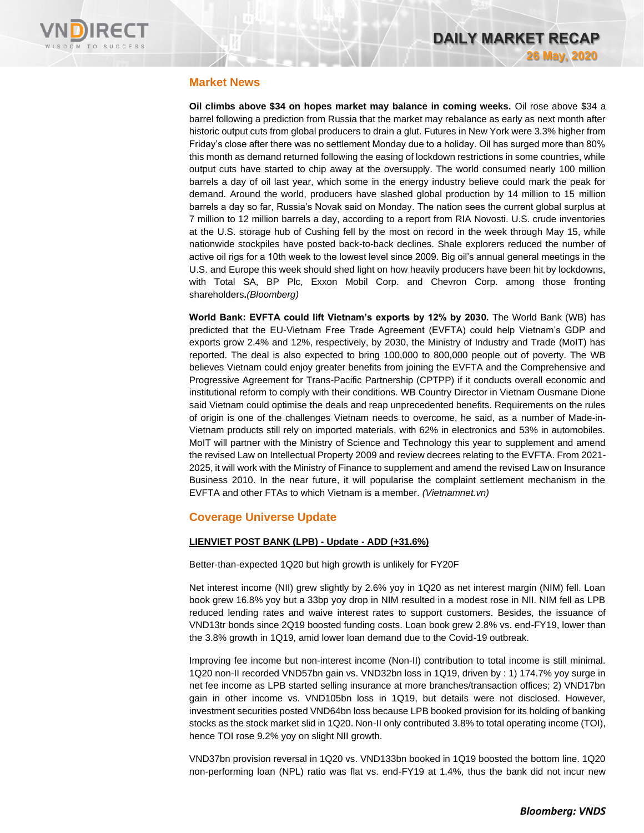

## **Market News**

**Oil climbs above \$34 on hopes market may balance in coming weeks.** Oil rose above \$34 a barrel following a prediction from Russia that the market may rebalance as early as next month after historic output cuts from global producers to drain a glut. Futures in New York were 3.3% higher from Friday's close after there was no settlement Monday due to a holiday. Oil has surged more than 80% this month as demand returned following the easing of lockdown restrictions in some countries, while output cuts have started to chip away at the oversupply. The world consumed nearly 100 million barrels a day of oil last year, which some in the energy industry believe could mark the peak for demand. Around the world, producers have slashed global production by 14 million to 15 million barrels a day so far, Russia's Novak said on Monday. The nation sees the current global surplus at 7 million to 12 million barrels a day, according to a report from RIA Novosti. U.S. crude inventories at the U.S. storage hub of Cushing fell by the most on record in the week through May 15, while nationwide stockpiles have posted back-to-back declines. Shale explorers reduced the number of active oil rigs for a 10th week to the lowest level since 2009. Big oil's annual general meetings in the U.S. and Europe this week should shed light on how heavily producers have been hit by lockdowns, with Total SA, BP Plc, Exxon Mobil Corp. and Chevron Corp. among those fronting shareholders**.***(Bloomberg)*

**World Bank: EVFTA could lift Vietnam's exports by 12% by 2030.** The World Bank (WB) has predicted that the EU-Vietnam Free Trade Agreement (EVFTA) could help Vietnam's GDP and exports grow 2.4% and 12%, respectively, by 2030, the Ministry of Industry and Trade (MoIT) has reported. The deal is also expected to bring 100,000 to 800,000 people out of poverty. The WB believes Vietnam could enjoy greater benefits from joining the EVFTA and the Comprehensive and Progressive Agreement for Trans-Pacific Partnership (CPTPP) if it conducts overall economic and institutional reform to comply with their conditions. WB Country Director in Vietnam Ousmane Dione said Vietnam could optimise the deals and reap unprecedented benefits. Requirements on the rules of origin is one of the challenges Vietnam needs to overcome, he said, as a number of Made-in-Vietnam products still rely on imported materials, with 62% in electronics and 53% in automobiles. MoIT will partner with the Ministry of Science and Technology this year to supplement and amend the revised Law on Intellectual Property 2009 and review decrees relating to the EVFTA. From 2021- 2025, it will work with the Ministry of Finance to supplement and amend the revised Law on Insurance Business 2010. In the near future, it will popularise the complaint settlement mechanism in the EVFTA and other FTAs to which Vietnam is a member. *(Vietnamnet.vn)*

#### **Coverage Universe Update**

#### **LIENVIET POST BANK (LPB) - Update - ADD (+31.6%)**

Better-than-expected 1Q20 but high growth is unlikely for FY20F

Net interest income (NII) grew slightly by 2.6% yoy in 1Q20 as net interest margin (NIM) fell. Loan book grew 16.8% yoy but a 33bp yoy drop in NIM resulted in a modest rose in NII. NIM fell as LPB reduced lending rates and waive interest rates to support customers. Besides, the issuance of VND13tr bonds since 2Q19 boosted funding costs. Loan book grew 2.8% vs. end-FY19, lower than the 3.8% growth in 1Q19, amid lower loan demand due to the Covid-19 outbreak.

Improving fee income but non-interest income (Non-II) contribution to total income is still minimal. 1Q20 non-II recorded VND57bn gain vs. VND32bn loss in 1Q19, driven by : 1) 174.7% yoy surge in net fee income as LPB started selling insurance at more branches/transaction offices; 2) VND17bn gain in other income vs. VND105bn loss in 1Q19, but details were not disclosed. However, investment securities posted VND64bn loss because LPB booked provision for its holding of banking stocks as the stock market slid in 1Q20. Non-II only contributed 3.8% to total operating income (TOI), hence TOI rose 9.2% yoy on slight NII growth.

VND37bn provision reversal in 1Q20 vs. VND133bn booked in 1Q19 boosted the bottom line. 1Q20 non-performing loan (NPL) ratio was flat vs. end-FY19 at 1.4%, thus the bank did not incur new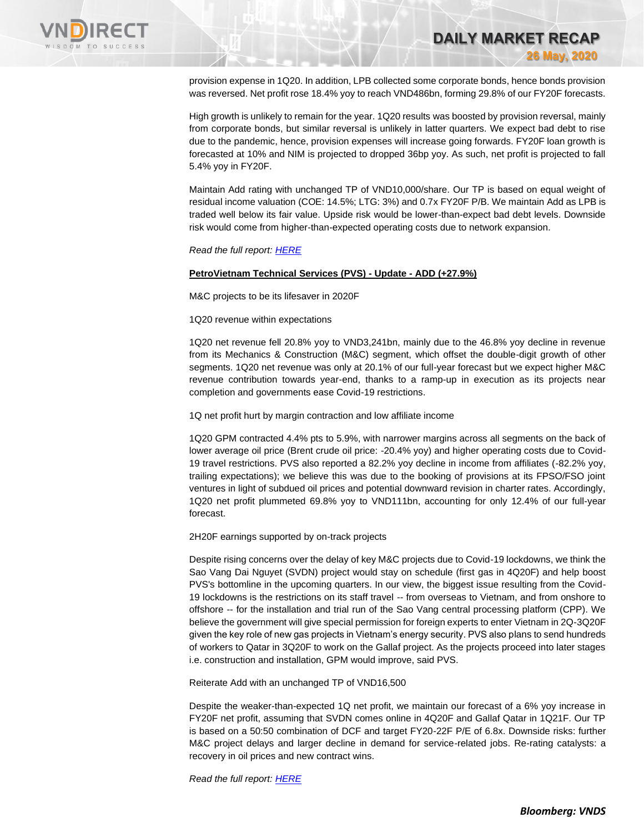

provision expense in 1Q20. In addition, LPB collected some corporate bonds, hence bonds provision was reversed. Net profit rose 18.4% yoy to reach VND486bn, forming 29.8% of our FY20F forecasts.

**DAILY MARKET RECAP** 

**26 May, 2020**

High growth is unlikely to remain for the year. 1Q20 results was boosted by provision reversal, mainly from corporate bonds, but similar reversal is unlikely in latter quarters. We expect bad debt to rise due to the pandemic, hence, provision expenses will increase going forwards. FY20F loan growth is forecasted at 10% and NIM is projected to dropped 36bp yoy. As such, net profit is projected to fall 5.4% yoy in FY20F.

Maintain Add rating with unchanged TP of VND10,000/share. Our TP is based on equal weight of residual income valuation (COE: 14.5%; LTG: 3%) and 0.7x FY20F P/B. We maintain Add as LPB is traded well below its fair value. Upside risk would be lower-than-expect bad debt levels. Downside risk would come from higher-than-expected operating costs due to network expansion.

*Read the full report[: HERE](https://static-02.vndirect.com.vn/uploads/prod/LPB_Update_20200522.pdf)*

#### **PetroVietnam Technical Services (PVS) - Update - ADD (+27.9%)**

M&C projects to be its lifesaver in 2020F

1Q20 revenue within expectations

1Q20 net revenue fell 20.8% yoy to VND3,241bn, mainly due to the 46.8% yoy decline in revenue from its Mechanics & Construction (M&C) segment, which offset the double-digit growth of other segments. 1Q20 net revenue was only at 20.1% of our full-year forecast but we expect higher M&C revenue contribution towards year-end, thanks to a ramp-up in execution as its projects near completion and governments ease Covid-19 restrictions.

1Q net profit hurt by margin contraction and low affiliate income

1Q20 GPM contracted 4.4% pts to 5.9%, with narrower margins across all segments on the back of lower average oil price (Brent crude oil price: -20.4% yoy) and higher operating costs due to Covid-19 travel restrictions. PVS also reported a 82.2% yoy decline in income from affiliates (-82.2% yoy, trailing expectations); we believe this was due to the booking of provisions at its FPSO/FSO joint ventures in light of subdued oil prices and potential downward revision in charter rates. Accordingly, 1Q20 net profit plummeted 69.8% yoy to VND111bn, accounting for only 12.4% of our full-year forecast.

2H20F earnings supported by on-track projects

Despite rising concerns over the delay of key M&C projects due to Covid-19 lockdowns, we think the Sao Vang Dai Nguyet (SVDN) project would stay on schedule (first gas in 4Q20F) and help boost PVS's bottomline in the upcoming quarters. In our view, the biggest issue resulting from the Covid-19 lockdowns is the restrictions on its staff travel -- from overseas to Vietnam, and from onshore to offshore -- for the installation and trial run of the Sao Vang central processing platform (CPP). We believe the government will give special permission for foreign experts to enter Vietnam in 2Q-3Q20F given the key role of new gas projects in Vietnam's energy security. PVS also plans to send hundreds of workers to Qatar in 3Q20F to work on the Gallaf project. As the projects proceed into later stages i.e. construction and installation, GPM would improve, said PVS.

Reiterate Add with an unchanged TP of VND16,500

Despite the weaker-than-expected 1Q net profit, we maintain our forecast of a 6% yoy increase in FY20F net profit, assuming that SVDN comes online in 4Q20F and Gallaf Qatar in 1Q21F. Our TP is based on a 50:50 combination of DCF and target FY20-22F P/E of 6.8x. Downside risks: further M&C project delays and larger decline in demand for service-related jobs. Re-rating catalysts: a recovery in oil prices and new contract wins.

*Read the full report[: HERE](https://rfs.cgs-cimb.com/api/download?file=468C0BCD-7C4A-4333-8FBE-3D3B0F57B9A3)*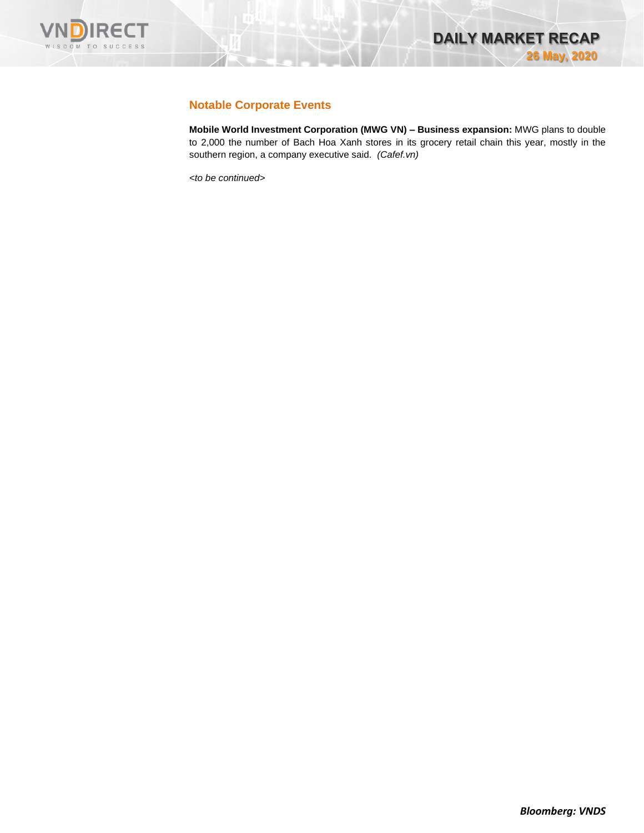

## **Notable Corporate Events**

**Mobile World Investment Corporation (MWG VN) – Business expansion:** MWG plans to double to 2,000 the number of Bach Hoa Xanh stores in its grocery retail chain this year, mostly in the southern region, a company executive said. *(Cafef.vn)*

*<to be continued>*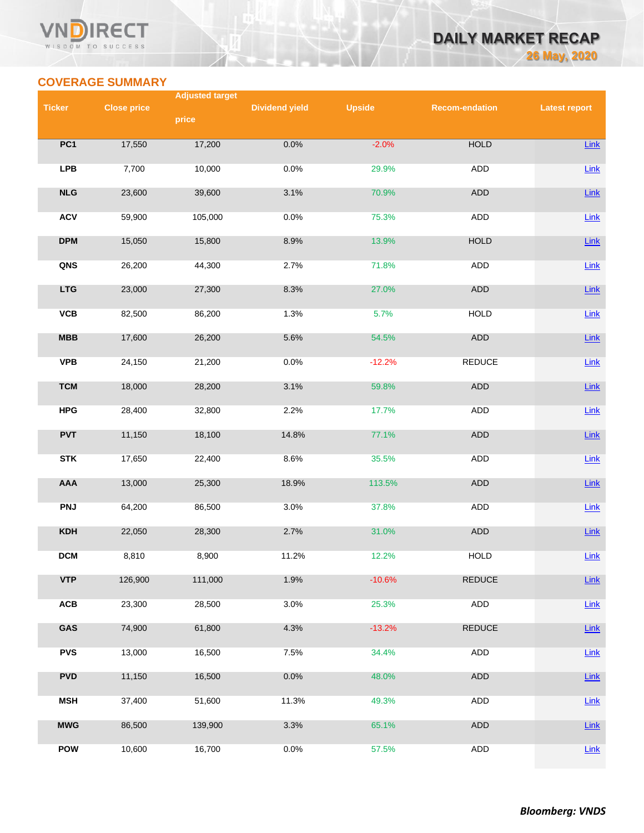#### VN **RECT** WISDOM TO SUCCESS



# **COVERAGE SUMMARY**

|               |                    | <b>Adjusted target</b> |                       |               |                       |                      |
|---------------|--------------------|------------------------|-----------------------|---------------|-----------------------|----------------------|
| <b>Ticker</b> | <b>Close price</b> | price                  | <b>Dividend yield</b> | <b>Upside</b> | <b>Recom-endation</b> | <b>Latest report</b> |
|               |                    |                        |                       |               |                       |                      |
| PC1           | 17,550             | 17,200                 | 0.0%                  | $-2.0%$       | <b>HOLD</b>           | <b>Link</b>          |
| <b>LPB</b>    | 7,700              | 10,000                 | 0.0%                  | 29.9%         | ADD                   | Link                 |
| NLG           | 23,600             | 39,600                 | 3.1%                  | 70.9%         | <b>ADD</b>            | Link                 |
| <b>ACV</b>    | 59,900             | 105,000                | 0.0%                  | 75.3%         | <b>ADD</b>            | Link                 |
| <b>DPM</b>    | 15,050             | 15,800                 | 8.9%                  | 13.9%         | <b>HOLD</b>           | Link                 |
| QNS           | 26,200             | 44,300                 | 2.7%                  | 71.8%         | <b>ADD</b>            | Link                 |
| <b>LTG</b>    | 23,000             | 27,300                 | 8.3%                  | 27.0%         | ADD                   | Link                 |
| <b>VCB</b>    | 82,500             | 86,200                 | 1.3%                  | 5.7%          | <b>HOLD</b>           | $Link$               |
| MBB           | 17,600             | 26,200                 | 5.6%                  | 54.5%         | <b>ADD</b>            | Link                 |
| <b>VPB</b>    | 24,150             | 21,200                 | 0.0%                  | $-12.2%$      | <b>REDUCE</b>         | Link                 |
| <b>TCM</b>    | 18,000             | 28,200                 | 3.1%                  | 59.8%         | <b>ADD</b>            | Link                 |
| <b>HPG</b>    | 28,400             | 32,800                 | 2.2%                  | 17.7%         | ADD                   | <b>Link</b>          |
| <b>PVT</b>    | 11,150             | 18,100                 | 14.8%                 | 77.1%         | ADD                   | Link                 |
| <b>STK</b>    | 17,650             | 22,400                 | 8.6%                  | 35.5%         | ADD                   | $Link$               |
| AAA           | 13,000             | 25,300                 | 18.9%                 | 113.5%        | ADD                   | <b>Link</b>          |
| <b>PNJ</b>    | 64,200             | 86,500                 | 3.0%                  | 37.8%         | <b>ADD</b>            | Link                 |
| <b>KDH</b>    | 22,050             | 28,300                 | 2.7%                  | 31.0%         | <b>ADD</b>            | <b>Link</b>          |
| <b>DCM</b>    | 8,810              | 8,900                  | 11.2%                 | 12.2%         | <b>HOLD</b>           | Link                 |
| <b>VTP</b>    | 126,900            | 111,000                | 1.9%                  | $-10.6%$      | <b>REDUCE</b>         | <b>Link</b>          |
| ACB           | 23,300             | 28,500                 | 3.0%                  | 25.3%         | ADD                   | <b>Link</b>          |
| GAS           | 74,900             | 61,800                 | 4.3%                  | $-13.2%$      | <b>REDUCE</b>         | <b>Link</b>          |
| <b>PVS</b>    | 13,000             | 16,500                 | 7.5%                  | 34.4%         | <b>ADD</b>            | Link                 |
| <b>PVD</b>    | 11,150             | 16,500                 | 0.0%                  | 48.0%         | ADD                   | Link                 |
| <b>MSH</b>    | 37,400             | 51,600                 | 11.3%                 | 49.3%         | <b>ADD</b>            | <b>Link</b>          |
| <b>MWG</b>    | 86,500             | 139,900                | 3.3%                  | 65.1%         | ADD                   | <b>Link</b>          |
| <b>POW</b>    | 10,600             | 16,700                 | 0.0%                  | 57.5%         | ADD                   | Link                 |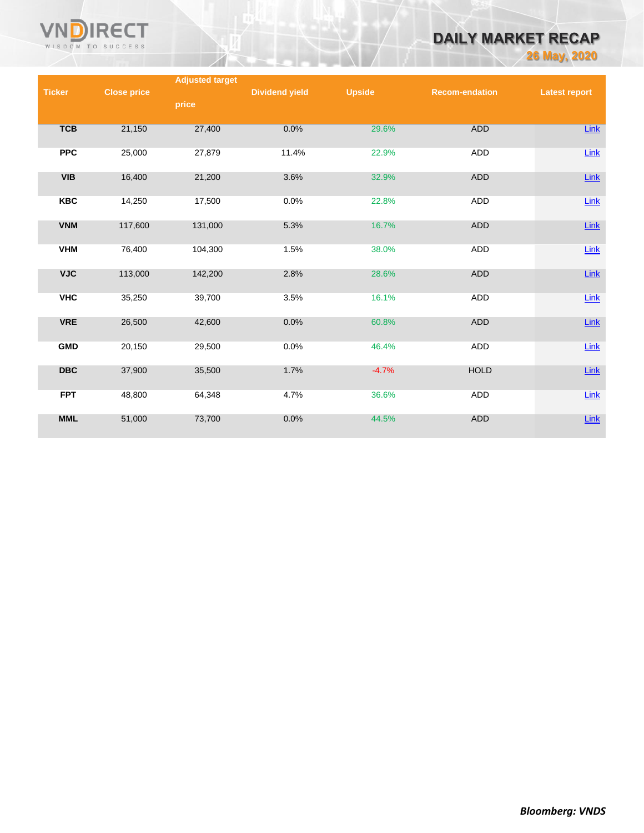

# **DAILY MARKET RECAP**

**26 May, 2020**

|               |                    | <b>Adjusted target</b> |                       |               |                       |                      |
|---------------|--------------------|------------------------|-----------------------|---------------|-----------------------|----------------------|
| <b>Ticker</b> | <b>Close price</b> |                        | <b>Dividend yield</b> | <b>Upside</b> | <b>Recom-endation</b> | <b>Latest report</b> |
|               |                    | price                  |                       |               |                       |                      |
|               |                    |                        |                       |               |                       |                      |
|               |                    |                        | 0.0%                  | 29.6%         | <b>ADD</b>            |                      |
| <b>TCB</b>    | 21,150             | 27,400                 |                       |               |                       | Link                 |
|               |                    |                        |                       |               |                       |                      |
| <b>PPC</b>    | 25,000             | 27,879                 | 11.4%                 | 22.9%         | ADD                   | Link                 |
|               |                    |                        |                       |               |                       |                      |
| <b>VIB</b>    | 16,400             | 21,200                 | 3.6%                  | 32.9%         | <b>ADD</b>            | $Link$               |
|               |                    |                        |                       |               |                       |                      |
| <b>KBC</b>    | 14,250             | 17,500                 | 0.0%                  | 22.8%         | ADD                   | Link                 |
|               |                    |                        |                       |               |                       |                      |
| <b>VNM</b>    | 117,600            | 131,000                | 5.3%                  | 16.7%         | <b>ADD</b>            | Link                 |
|               |                    |                        |                       |               |                       |                      |
|               |                    |                        |                       |               |                       |                      |
| <b>VHM</b>    | 76,400             | 104,300                | 1.5%                  | 38.0%         | ADD                   | Link                 |
|               |                    |                        |                       |               |                       |                      |
| <b>VJC</b>    | 113,000            | 142,200                | 2.8%                  | 28.6%         | <b>ADD</b>            | $Link$               |
|               |                    |                        |                       |               |                       |                      |
| <b>VHC</b>    | 35,250             | 39,700                 | 3.5%                  | 16.1%         | ADD                   | $Link$               |
|               |                    |                        |                       |               |                       |                      |
| <b>VRE</b>    | 26,500             | 42,600                 | 0.0%                  | 60.8%         | <b>ADD</b>            | Link                 |
|               |                    |                        |                       |               |                       |                      |
|               |                    |                        |                       |               |                       |                      |
| <b>GMD</b>    | 20,150             | 29,500                 | 0.0%                  | 46.4%         | ADD                   | Link                 |
|               |                    |                        |                       |               |                       |                      |
| <b>DBC</b>    | 37,900             | 35,500                 | 1.7%                  | $-4.7%$       | <b>HOLD</b>           | $Link$               |
|               |                    |                        |                       |               |                       |                      |
| <b>FPT</b>    | 48,800             | 64,348                 | 4.7%                  | 36.6%         | <b>ADD</b>            | Link                 |
|               |                    |                        |                       |               |                       |                      |
| <b>MML</b>    | 51,000             | 73,700                 | 0.0%                  | 44.5%         | <b>ADD</b>            | $Link$               |
|               |                    |                        |                       |               |                       |                      |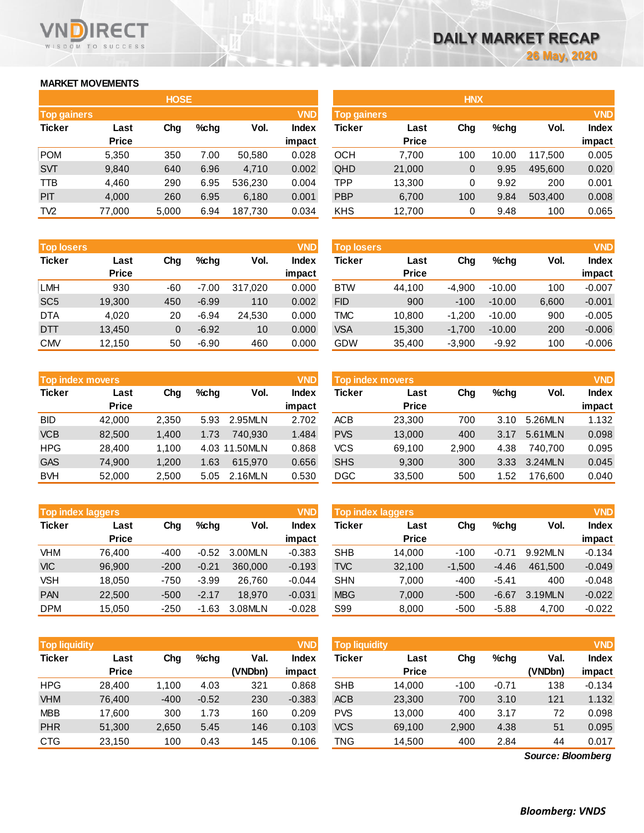## **MARKET MOVEMENTS**

WISDOM TO SUCCESS

**RECT** 

n

|                    | <b>HOSE</b>  |       |      |         |              |  |  |  |  |
|--------------------|--------------|-------|------|---------|--------------|--|--|--|--|
| <b>Top gainers</b> |              |       |      |         | <b>VND</b>   |  |  |  |  |
| <b>Ticker</b>      | Last         | Cha   | %chq | Vol.    | <b>Index</b> |  |  |  |  |
|                    | <b>Price</b> |       |      |         | impact       |  |  |  |  |
| <b>POM</b>         | 5,350        | 350   | 7.00 | 50,580  | 0.028        |  |  |  |  |
| <b>SVT</b>         | 9,840        | 640   | 6.96 | 4,710   | 0.002        |  |  |  |  |
| TTB                | 4.460        | 290   | 6.95 | 536,230 | 0.004        |  |  |  |  |
| PIT                | 4,000        | 260   | 6.95 | 6,180   | 0.001        |  |  |  |  |
| TV <sub>2</sub>    | 77,000       | 5,000 | 6.94 | 187,730 | 0.034        |  |  |  |  |

| <b>Top losers</b> |              |     |         |         | <b>VND</b>   |
|-------------------|--------------|-----|---------|---------|--------------|
| <b>Ticker</b>     | Last         | Cha | %chq    | Vol.    | <b>Index</b> |
|                   | <b>Price</b> |     |         |         | impact       |
| <b>LMH</b>        | 930          | -60 | $-7.00$ | 317,020 | 0.000        |
| SC <sub>5</sub>   | 19,300       | 450 | $-6.99$ | 110     | 0.002        |
| <b>DTA</b>        | 4,020        | 20  | $-6.94$ | 24,530  | 0.000        |
| DTT               | 13,450       | 0   | $-6.92$ | 10      | 0.000        |
| <b>CMV</b>        | 12,150       | 50  | $-6.90$ | 460     | 0.000        |

|               | <b>Top index movers</b> |       |      |               |              |  |  |  |
|---------------|-------------------------|-------|------|---------------|--------------|--|--|--|
| <b>Ticker</b> | Last                    | Cha   | %chq | Vol.          | <b>Index</b> |  |  |  |
|               | <b>Price</b>            |       |      |               | impact       |  |  |  |
| <b>BID</b>    | 42,000                  | 2,350 | 5.93 | 2.95MLN       | 2.702        |  |  |  |
| <b>VCB</b>    | 82,500                  | 1,400 | 1.73 | 740,930       | 1.484        |  |  |  |
| <b>HPG</b>    | 28,400                  | 1,100 |      | 4.03 11.50MLN | 0.868        |  |  |  |
| <b>GAS</b>    | 74,900                  | 1,200 | 1.63 | 615,970       | 0.656        |  |  |  |
| <b>BVH</b>    | 52,000                  | 2,500 | 5.05 | 2.16MLN       | 0.530        |  |  |  |

|               | <b>Top index laggers</b> |        |         |         | <b>VND</b>   |
|---------------|--------------------------|--------|---------|---------|--------------|
| <b>Ticker</b> | Last                     | Cha    | %chq    | Vol.    | <b>Index</b> |
|               | <b>Price</b>             |        |         |         | impact       |
| <b>VHM</b>    | 76,400                   | $-400$ | $-0.52$ | 3.00MLN | $-0.383$     |
| <b>VIC</b>    | 96,900                   | $-200$ | $-0.21$ | 360,000 | $-0.193$     |
| <b>VSH</b>    | 18,050                   | -750   | $-3.99$ | 26,760  | $-0.044$     |
| <b>PAN</b>    | 22,500                   | $-500$ | $-2.17$ | 18.970  | $-0.031$     |
| <b>DPM</b>    | 15,050                   | $-250$ | $-1.63$ | 3.08MLN | $-0.028$     |

| <b>VND</b><br><b>Top liquidity</b> |              |        |         |         |              |  |  |  |
|------------------------------------|--------------|--------|---------|---------|--------------|--|--|--|
| <b>Ticker</b>                      | Last         | Cha    | %chq    | Val.    | <b>Index</b> |  |  |  |
|                                    | <b>Price</b> |        |         | (VNDbn) | impact       |  |  |  |
| <b>HPG</b>                         | 28,400       | 1,100  | 4.03    | 321     | 0.868        |  |  |  |
| <b>VHM</b>                         | 76,400       | $-400$ | $-0.52$ | 230     | $-0.383$     |  |  |  |
| <b>MBB</b>                         | 17,600       | 300    | 1.73    | 160     | 0.209        |  |  |  |
| <b>PHR</b>                         | 51,300       | 2,650  | 5.45    | 146     | 0.103        |  |  |  |
| <b>CTG</b>                         | 23,150       | 100    | 0.43    | 145     | 0.106        |  |  |  |

|                    |              | <b>HOSE</b> |         |         |              |                    |              | <b>HNX</b> |         |         |            |
|--------------------|--------------|-------------|---------|---------|--------------|--------------------|--------------|------------|---------|---------|------------|
| <b>Top gainers</b> |              |             |         |         | <b>VND</b>   | <b>Top gainers</b> |              |            |         |         | <b>VND</b> |
| Ticker             | Last         | Chg         | $%$ chg | Vol.    | <b>Index</b> | Ticker             | Last         | Chg        | $%$ chg | Vol.    | Index      |
|                    | <b>Price</b> |             |         |         | impact       |                    | <b>Price</b> |            |         |         | impact     |
| POM                | 5,350        | 350         | 7.00    | 50,580  | 0.028        | OCH                | 7.700        | 100        | 10.00   | 117.500 | 0.005      |
| <b>SVT</b>         | 9,840        | 640         | 6.96    | 4.710   | 0.002        | QHD                | 21,000       | 0          | 9.95    | 495.600 | 0.020      |
| TTB                | 4,460        | 290         | 6.95    | 536,230 | 0.004        | TPP                | 13,300       | 0          | 9.92    | 200     | 0.001      |
| <b>PIT</b>         | 4,000        | 260         | 6.95    | 6,180   | 0.001        | <b>PBP</b>         | 6,700        | 100        | 9.84    | 503,400 | 0.008      |
| TV2                | 77,000       | 5,000       | 6.94    | 187,730 | 0.034        | <b>KHS</b>         | 12,700       | 0          | 9.48    | 100     | 0.065      |
|                    |              |             |         |         |              |                    |              |            |         |         |            |

| <b>Top losers</b> |              |                |         |         | <b>VND</b>   | Top losers |              |          |          |       | <b>VND</b>   |
|-------------------|--------------|----------------|---------|---------|--------------|------------|--------------|----------|----------|-------|--------------|
| Ticker            | Last         | Chg            | $%$ chg | Vol.    | <b>Index</b> | Ticker     | Last         | Chg      | $%$ chg  | Vol.  | <b>Index</b> |
|                   | <b>Price</b> |                |         |         | impact       |            | <b>Price</b> |          |          |       | impact       |
| LMH               | 930          | -60            | $-7.00$ | 317.020 | 0.000        | <b>BTW</b> | 44,100       | -4.900   | $-10.00$ | 100   | $-0.007$     |
| SC <sub>5</sub>   | 19,300       | 450            | $-6.99$ | 110     | 0.002        | <b>FID</b> | 900          | $-100$   | $-10.00$ | 6,600 | $-0.001$     |
| DTA               | 4,020        | 20             | $-6.94$ | 24,530  | 0.000        | TMC        | 10,800       | $-1.200$ | $-10.00$ | 900   | $-0.005$     |
| DTT               | 13,450       | $\overline{0}$ | $-6.92$ | 10      | 0.000        | <b>VSA</b> | 15,300       | $-1,700$ | $-10.00$ | 200   | $-0.006$     |
| CMV               | 12,150       | 50             | $-6.90$ | 460     | 0.000        | <b>GDW</b> | 35,400       | $-3,900$ | $-9.92$  | 100   | $-0.006$     |
|                   |              |                |         |         |              |            |              |          |          |       |              |

|            | <b>VND</b><br><b>Top index movers</b> |       |      |               |                        | Top index movers |                      |       |      | <b>VND</b> |                        |
|------------|---------------------------------------|-------|------|---------------|------------------------|------------------|----------------------|-------|------|------------|------------------------|
| Ticker     | Last<br><b>Price</b>                  | Chg   | %chq | Vol.          | <b>Index</b><br>impact | Ticker           | Last<br><b>Price</b> | Chg   | %chq | Vol.       | <b>Index</b><br>impact |
| BID        | 42.000                                | 2,350 | 5.93 | 2.95MLN       | 2.702                  | <b>ACB</b>       | 23.300               | 700   | 3.10 | 5.26MLN    | 1.132                  |
| <b>VCB</b> | 82,500                                | 1.400 | 1.73 | 740.930       | 1.484                  | <b>PVS</b>       | 13.000               | 400   | 3.17 | 5.61MLN    | 0.098                  |
| HPG        | 28.400                                | 1.100 |      | 4.03 11.50MLN | 0.868                  | <b>VCS</b>       | 69,100               | 2,900 | 4.38 | 740.700    | 0.095                  |
| <b>GAS</b> | 74,900                                | 1.200 | 1.63 | 615.970       | 0.656                  | <b>SHS</b>       | 9,300                | 300   | 3.33 | 3.24MLN    | 0.045                  |
| <b>BVH</b> | 52,000                                | 2,500 | 5.05 | 2.16MLN       | 0.530                  | <b>DGC</b>       | 33,500               | 500   | .52  | 176,600    | 0.040                  |

| <b>Top index laggers</b> |              |        |               |         | <b>VND</b> | Top index laggers |              |          |         |         |              |
|--------------------------|--------------|--------|---------------|---------|------------|-------------------|--------------|----------|---------|---------|--------------|
| Ticker                   | Last         | Chg    | $%$ chg       | Vol.    | Index      | Ticker            | Last         | Chg      | $%$ chg | Vol.    | <b>Index</b> |
|                          | <b>Price</b> |        |               |         | impact     |                   | <b>Price</b> |          |         |         | impact       |
| VHM                      | 76.400       | $-400$ | $-0.52$       | 3.00MLN | $-0.383$   | <b>SHB</b>        | 14.000       | $-100$   | $-0.71$ | 9.92MLN | $-0.134$     |
| VIC                      | 96.900       | $-200$ | $-0.21$       | 360,000 | $-0.193$   | <b>TVC</b>        | 32,100       | $-1.500$ | $-4.46$ | 461.500 | $-0.049$     |
| <b>VSH</b>               | 18.050       | $-750$ | $-3.99$       | 26.760  | -0.044     | <b>SHN</b>        | 7,000        | -400     | $-5.41$ | 400     | $-0.048$     |
| PAN                      | 22,500       | $-500$ | $-2.17$       | 18.970  | $-0.031$   | <b>MBG</b>        | 7,000        | $-500$   | $-6.67$ | 3.19MLN | $-0.022$     |
| DPM                      | 15.050       | $-250$ | . .63<br>$-1$ | 3.08MLN | $-0.028$   | S99               | 8,000        | $-500$   | $-5.88$ | 4.700   | $-0.022$     |

| <b>Top liquidity</b> |                      |        |         |         | <b>VND</b>   | <b>Top liquidity</b> |                      |       |         |                   | <b>VND</b>   |
|----------------------|----------------------|--------|---------|---------|--------------|----------------------|----------------------|-------|---------|-------------------|--------------|
| Ticker               | Last<br><b>Price</b> | Chg    | $%$ chg | Val.    | <b>Index</b> | Ticker               | Last<br><b>Price</b> | Chg   | $%$ chg | Val.              | <b>Index</b> |
|                      |                      |        |         | (VNDbn) | impact       |                      |                      |       |         | (VNDbn)           | impact       |
| HPG                  | 28,400               | 1.100  | 4.03    | 321     | 0.868        | <b>SHB</b>           | 14,000               | -100  | $-0.71$ | 138               | $-0.134$     |
| <b>VHM</b>           | 76.400               | $-400$ | $-0.52$ | 230     | $-0.383$     | <b>ACB</b>           | 23,300               | 700   | 3.10    | 121               | 1.132        |
| MBB                  | 17,600               | 300    | 1.73    | 160     | 0.209        | <b>PVS</b>           | 13,000               | 400   | 3.17    | 72                | 0.098        |
| <b>PHR</b>           | 51,300               | 2,650  | 5.45    | 146     | 0.103        | <b>VCS</b>           | 69,100               | 2,900 | 4.38    | 51                | 0.095        |
| CTG                  | 23,150               | 100    | 0.43    | 145     | 0.106        | <b>TNG</b>           | 14,500               | 400   | 2.84    | 44                | 0.017        |
|                      |                      |        |         |         |              |                      |                      |       |         | Source: Bloomberg |              |

*Source: Bloomberg*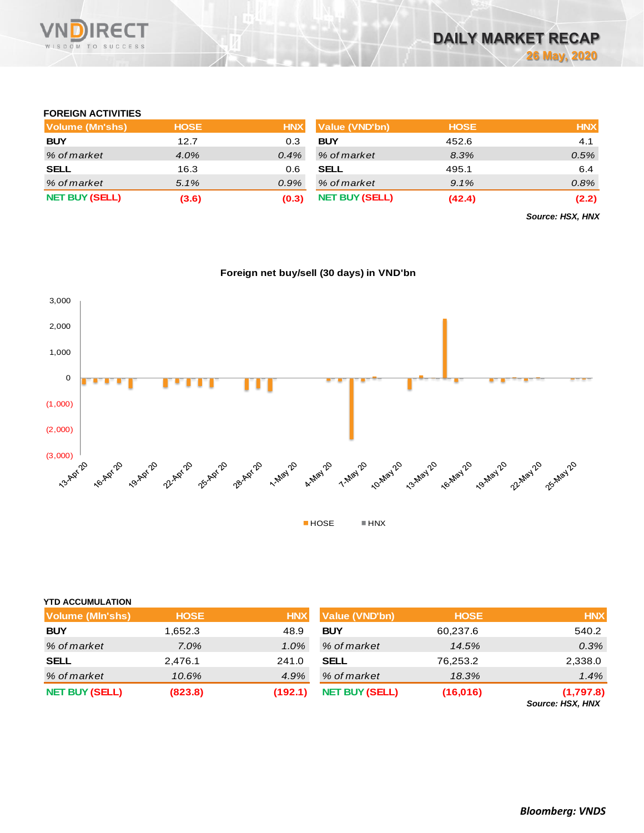

### **FOREIGN ACTIVITIES**

| Volume (Mn'shs)       | <b>HOSE</b> | <b>HNX</b> | Value (VND'bn)        | <b>HOSE</b> | <b>HNX</b> |
|-----------------------|-------------|------------|-----------------------|-------------|------------|
| <b>BUY</b>            | 12.7        | 0.3        | <b>BUY</b>            | 452.6       | 4.1        |
| % of market           | $4.0\%$     | $0.4\%$    | % of market           | 8.3%        | 0.5%       |
| <b>SELL</b>           | 16.3        | 0.6        | <b>SELL</b>           | 495.1       | 6.4        |
| % of market           | 5.1%        | $0.9\%$    | % of market           | 9.1%        | 0.8%       |
| <b>NET BUY (SELL)</b> | (3.6)       | (0.3)      | <b>NET BUY (SELL)</b> | (42.4)      | (2.2)      |

*Source: HSX, HNX*

## **Foreign net buy/sell (30 days) in VND'bn**



## **YTD ACCUMULATION**

| <b>Volume (MIn'shs)</b> | <b>HOSE</b> | <b>HNX</b> | Value (VND'bn)        | <b>HOSE</b> | <b>HNX</b>                           |
|-------------------------|-------------|------------|-----------------------|-------------|--------------------------------------|
| <b>BUY</b>              | 1,652.3     | 48.9       | <b>BUY</b>            | 60,237.6    | 540.2                                |
| % of market             | $7.0\%$     | $1.0\%$    | % of market           | 14.5%       | 0.3%                                 |
| <b>SELL</b>             | 2.476.1     | 241.0      | <b>SELL</b>           | 76,253.2    | 2,338.0                              |
| % of market             | 10.6%       | 4.9%       | % of market           | 18.3%       | 1.4%                                 |
| <b>NET BUY (SELL)</b>   | (823.8)     | (192.1)    | <b>NET BUY (SELL)</b> | (16, 016)   | (1,797.8)<br><b>Source: HSX, HNX</b> |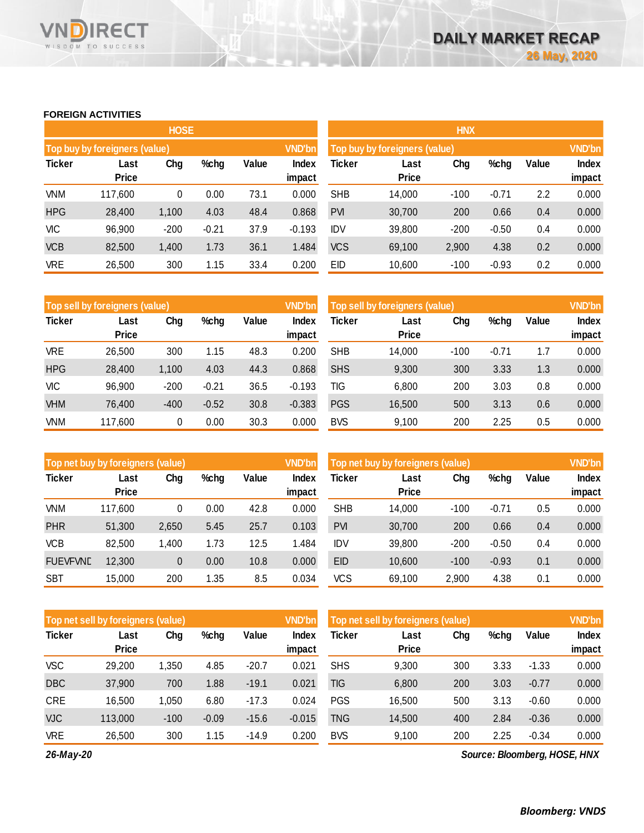#### **FOREIGN ACTIVITIES**

WISDOM TO SUCCESS

**RECT** 

VND

|               |                               | <b>HOSE</b> |         |       |                 | <b>HNX</b> |                               |        |         |       |                 |
|---------------|-------------------------------|-------------|---------|-------|-----------------|------------|-------------------------------|--------|---------|-------|-----------------|
|               | Top buy by foreigners (value) |             |         |       | <b>VND'bn</b>   |            | Top buy by foreigners (value) |        |         |       | <b>VND'bn</b>   |
| <b>Ticker</b> | Last<br><b>Price</b>          | Chg         | %chg    | Value | Index<br>impact | Ticker     | Last<br><b>Price</b>          | Chg    | %chg    | Value | Index<br>impact |
| <b>VNM</b>    | 117,600                       | 0           | 0.00    | 73.1  | 0.000           | <b>SHB</b> | 14,000                        | $-100$ | $-0.71$ | 2.2   | 0.000           |
| <b>HPG</b>    | 28,400                        | 1,100       | 4.03    | 48.4  | 0.868           | <b>PVI</b> | 30,700                        | 200    | 0.66    | 0.4   | 0.000           |
| <b>VIC</b>    | 96,900                        | $-200$      | $-0.21$ | 37.9  | $-0.193$        | <b>IDV</b> | 39,800                        | $-200$ | $-0.50$ | 0.4   | 0.000           |
| <b>VCB</b>    | 82,500                        | 1,400       | 1.73    | 36.1  | 1.484           | <b>VCS</b> | 69,100                        | 2,900  | 4.38    | 0.2   | 0.000           |
| <b>VRE</b>    | 26,500                        | 300         | 1.15    | 33.4  | 0.200           | EID        | 10,600                        | $-100$ | $-0.93$ | 0.2   | 0.000           |

|               | Top sell by foreigners (value), |        |         |       |                 | <b>VND'bn</b><br>Top sell by foreigners (value) |                      |        |         |       | <b>VND'bn</b>          |
|---------------|---------------------------------|--------|---------|-------|-----------------|-------------------------------------------------|----------------------|--------|---------|-------|------------------------|
| <b>Ticker</b> | Last<br><b>Price</b>            | Chg    | %chg    | Value | Index<br>impact | Ticker                                          | Last<br><b>Price</b> | Chg    | %chg    | Value | <b>Index</b><br>impact |
| <b>VRE</b>    | 26,500                          | 300    | 1.15    | 48.3  | 0.200           | <b>SHB</b>                                      | 14,000               | $-100$ | $-0.71$ | 1.7   | 0.000                  |
|               |                                 |        |         |       |                 |                                                 |                      |        |         |       |                        |
| <b>HPG</b>    | 28,400                          | 1,100  | 4.03    | 44.3  | 0.868           | <b>SHS</b>                                      | 9,300                | 300    | 3.33    | 1.3   | 0.000                  |
| VIC           | 96,900                          | $-200$ | $-0.21$ | 36.5  | $-0.193$        | TIG                                             | 6,800                | 200    | 3.03    | 0.8   | 0.000                  |
| <b>VHM</b>    | 76.400                          | $-400$ | $-0.52$ | 30.8  | $-0.383$        | <b>PGS</b>                                      | 16,500               | 500    | 3.13    | 0.6   | 0.000                  |
| VNM           | 117,600                         | 0      | 0.00    | 30.3  | 0.000           | <b>BVS</b>                                      | 9,100                | 200    | 2.25    | 0.5   | 0.000                  |

|                 | Top net buy by foreigners (value) |       |      |       |                 | <b>VND'bn</b><br>Top net buy by foreigners (value) |                      |        |         |       | <b>VND'bn</b>   |
|-----------------|-----------------------------------|-------|------|-------|-----------------|----------------------------------------------------|----------------------|--------|---------|-------|-----------------|
| <b>Ticker</b>   | Last<br><b>Price</b>              | Chg   | %chg | Value | Index<br>impact | Ticker                                             | Last<br><b>Price</b> | Chg    | %chg    | Value | Index<br>impact |
| VNM             | 117,600                           | 0     | 0.00 | 42.8  | 0.000           | <b>SHB</b>                                         | 14,000               | $-100$ | $-0.71$ | 0.5   | 0.000           |
|                 |                                   |       |      |       |                 |                                                    |                      |        |         |       |                 |
| <b>PHR</b>      | 51,300                            | 2,650 | 5.45 | 25.7  | 0.103           | <b>PVI</b>                                         | 30,700               | 200    | 0.66    | 0.4   | 0.000           |
| <b>VCB</b>      | 82,500                            | 1,400 | 1.73 | 12.5  | 1.484           | <b>IDV</b>                                         | 39,800               | $-200$ | $-0.50$ | 0.4   | 0.000           |
| <b>FUEVFVND</b> | 12,300                            | 0     | 0.00 | 10.8  | 0.000           | <b>EID</b>                                         | 10,600               | $-100$ | $-0.93$ | 0.1   | 0.000           |
| <b>SBT</b>      | 15,000                            | 200   | 1.35 | 8.5   | 0.034           | <b>VCS</b>                                         | 69,100               | 2,900  | 4.38    | 0.1   | 0.000           |

|               | Top net sell by foreigners (value) |        |         |         | <b>VND'bn</b> | Top net sell by foreigners (value) |              |     |      |         |              |
|---------------|------------------------------------|--------|---------|---------|---------------|------------------------------------|--------------|-----|------|---------|--------------|
| <b>Ticker</b> | Last                               | Chg    | %chg    | Value   | Index         | Ticker                             | Last         | Chg | %chg | Value   | <b>Index</b> |
|               | <b>Price</b>                       |        |         |         | impact        |                                    | <b>Price</b> |     |      |         | impact       |
| <b>VSC</b>    | 29,200                             | 1,350  | 4.85    | $-20.7$ | 0.021         | <b>SHS</b>                         | 9,300        | 300 | 3.33 | $-1.33$ | 0.000        |
| <b>DBC</b>    | 37,900                             | 700    | 1.88    | $-19.1$ | 0.021         | TIG                                | 6,800        | 200 | 3.03 | $-0.77$ | 0.000        |
| <b>CRE</b>    | 16,500                             | 1,050  | 6.80    | $-17.3$ | 0.024         | <b>PGS</b>                         | 16,500       | 500 | 3.13 | $-0.60$ | 0.000        |
| <b>VJC</b>    | 113,000                            | $-100$ | $-0.09$ | $-15.6$ | $-0.015$      | TNG                                | 14,500       | 400 | 2.84 | $-0.36$ | 0.000        |
| <b>VRE</b>    | 26,500                             | 300    | 1.15    | $-14.9$ | 0.200         | <b>BVS</b>                         | 9.100        | 200 | 2.25 | $-0.34$ | 0.000        |

*26-May-20*

*Source: Bloomberg, HOSE, HNX*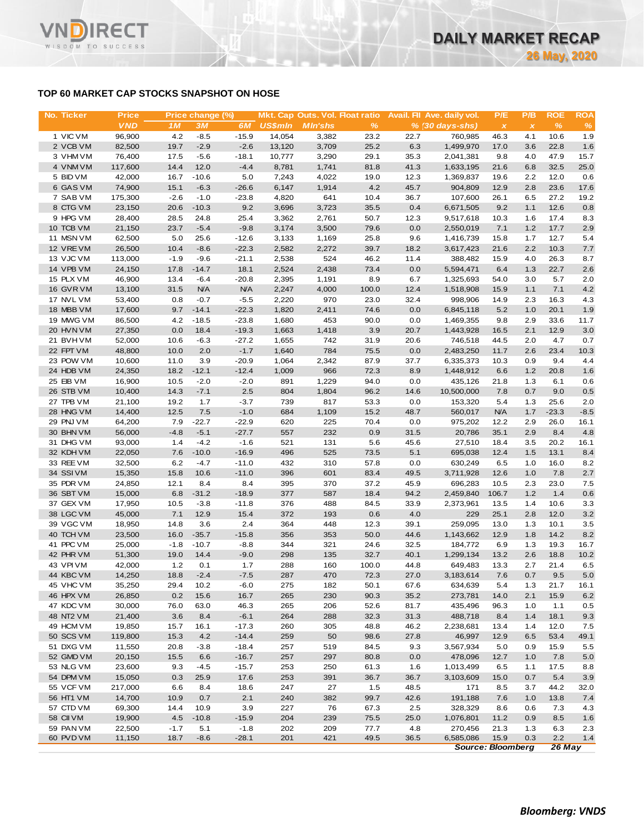## **TOP 60 MARKET CAP STOCKS SNAPSHOT ON HOSE**

**RECT** 

WISDOM TO SUCCESS

VN

| No. Ticker             | <b>Price</b>     |              | Price change (%) |                |                | Mkt. Cap Outs. Vol. Float ratio |              |              | Avail. Fil Ave. daily vol. | P/E          | P/B            | <b>ROE</b>   | <b>ROA</b> |
|------------------------|------------------|--------------|------------------|----------------|----------------|---------------------------------|--------------|--------------|----------------------------|--------------|----------------|--------------|------------|
|                        | <b>VND</b>       | 1M           | 3M               | 6M             | <b>US\$mln</b> | <b>MIn'shs</b>                  | $\%$         |              | $% (30 days-shs)$          | $\pmb{\chi}$ | $\pmb{\times}$ | %            | %          |
| 1 VIC VM               | 96,900           | 4.2          | $-8.5$           | $-15.9$        | 14.054         | 3,382                           | 23.2         | 22.7         | 760,985                    | 46.3         | 4.1            | 10.6         | 1.9        |
| 2 VCB VM               | 82,500           | 19.7         | $-2.9$           | $-2.6$         | 13,120         | 3,709                           | 25.2         | 6.3          | 1,499,970                  | 17.0         | 3.6            | 22.8         | 1.6        |
| 3 VHM VM               | 76,400           | 17.5         | $-5.6$           | $-18.1$        | 10,777         | 3,290                           | 29.1         | 35.3         | 2,041,381                  | 9.8          | 4.0            | 47.9         | 15.7       |
| 4 VNM VM               | 117,600          | 14.4         | 12.0             | $-4.4$         | 8,781          | 1,741                           | 81.8         | 41.3         | 1,633,195                  | 21.6         | 6.8            | 32.5         | 25.0       |
| 5 BID VM               | 42,000           | 16.7         | $-10.6$          | 5.0            | 7,243          | 4,022                           | 19.0         | 12.3         | 1,369,837                  | 19.6         | 2.2            | 12.0         | 0.6        |
| 6 GAS VM               | 74,900           | 15.1         | $-6.3$           | $-26.6$        | 6,147          | 1,914                           | 4.2          | 45.7         | 904,809                    | 12.9         | 2.8            | 23.6         | 17.6       |
| 7 SAB VM               | 175,300          | $-2.6$       | $-1.0$           | $-23.8$        | 4,820          | 641                             | 10.4         | 36.7         | 107,600                    | 26.1         | 6.5            | 27.2         | 19.2       |
| 8 CTG VM               | 23,150           | 20.6         | $-10.3$          | 9.2            | 3,696          | 3,723                           | 35.5         | 0.4          | 6,671,505                  | 9.2          | 1.1            | 12.6         | 0.8        |
| 9 HPG VM               | 28,400           | 28.5         | 24.8             | 25.4<br>$-9.8$ | 3,362          | 2,761                           | 50.7         | 12.3         | 9,517,618                  | 10.3         | 1.6            | 17.4<br>17.7 | 8.3        |
| 10 TCB VM<br>11 MSN VM | 21,150<br>62,500 | 23.7<br>5.0  | $-5.4$<br>25.6   | $-12.6$        | 3,174<br>3,133 | 3,500<br>1,169                  | 79.6<br>25.8 | 0.0<br>9.6   | 2,550,019<br>1,416,739     | 7.1<br>15.8  | 1.2<br>1.7     | 12.7         | 2.9<br>5.4 |
| 12 VREVM               | 26,500           | 10.4         | $-8.6$           | $-22.3$        | 2,582          | 2,272                           | 39.7         | 18.2         | 3,617,423                  | 21.6         | 2.2            | 10.3         | 7.7        |
| 13 VJC VM              | 113,000          | $-1.9$       | $-9.6$           | $-21.1$        | 2,538          | 524                             | 46.2         | 11.4         | 388,482                    | 15.9         | 4.0            | 26.3         | 8.7        |
| 14 VPB VM              | 24,150           | 17.8         | $-14.7$          | 18.1           | 2,524          | 2,438                           | 73.4         | 0.0          | 5,594,471                  | 6.4          | 1.3            | 22.7         | 2.6        |
| 15 PLX VM              | 46,900           | 13.4         | $-6.4$           | $-20.8$        | 2,395          | 1,191                           | 8.9          | 6.7          | 1,325,693                  | 54.0         | 3.0            | 5.7          | 2.0        |
| 16 GVR VM              | 13,100           | 31.5         | <b>N/A</b>       | <b>N/A</b>     | 2,247          | 4,000                           | 100.0        | 12.4         | 1,518,908                  | 15.9         | 1.1            | 7.1          | 4.2        |
| 17 NVL VM              | 53,400           | 0.8          | $-0.7$           | $-5.5$         | 2,220          | 970                             | 23.0         | 32.4         | 998,906                    | 14.9         | 2.3            | 16.3         | 4.3        |
| 18 MBB VM              | 17,600           | 9.7          | $-14.1$          | $-22.3$        | 1,820          | 2,411                           | 74.6         | 0.0          | 6,845,118                  | 5.2          | 1.0            | 20.1         | 1.9        |
| 19 MWG VM              | 86,500           | 4.2          | $-18.5$          | $-23.8$        | 1,680          | 453                             | 90.0         | 0.0          | 1,469,355                  | 9.8          | 2.9            | 33.6         | 11.7       |
| 20 HVN VM              | 27,350           | 0.0          | 18.4             | $-19.3$        | 1,663          | 1,418                           | 3.9          | 20.7         | 1,443,928                  | 16.5         | 2.1            | 12.9         | 3.0        |
| 21 BVHVM               | 52,000           | 10.6         | $-6.3$           | $-27.2$        | 1,655          | 742                             | 31.9         | 20.6         | 746,518                    | 44.5         | 2.0            | 4.7          | 0.7        |
| 22 FPT VM              | 48,800           | 10.0         | 2.0              | $-1.7$         | 1,640          | 784                             | 75.5         | 0.0          | 2,483,250                  | 11.7         | 2.6            | 23.4         | 10.3       |
| 23 POW VM              | 10,600           | 11.0         | 3.9              | $-20.9$        | 1,064          | 2,342                           | 87.9         | 37.7         | 6,335,373                  | 10.3         | 0.9            | 9.4          | 4.4        |
| 24 HDB VM              | 24,350           | 18.2         | $-12.1$          | $-12.4$        | 1,009          | 966                             | 72.3         | 8.9          | 1,448,912                  | 6.6          | 1.2            | 20.8         | 1.6        |
| 25 EIB VM              | 16,900           | 10.5         | $-2.0$           | $-2.0$         | 891            | 1,229                           | 94.0         | 0.0          | 435,126                    | 21.8         | 1.3            | 6.1          | 0.6        |
| 26 STB VM              | 10,400           | 14.3         | $-7.1$           | 2.5            | 804            | 1,804                           | 96.2         | 14.6         | 10,500,000                 | 7.8          | 0.7            | 9.0          | 0.5        |
| 27 TPB VM              | 21,100           | 19.2         | 1.7              | $-3.7$         | 739            | 817                             | 53.3         | 0.0          | 153,320                    | 5.4          | 1.3            | 25.6         | 2.0        |
| 28 HNG VM              | 14,400           | 12.5         | 7.5              | $-1.0$         | 684            | 1,109                           | 15.2         | 48.7         | 560,017                    | <b>N/A</b>   | 1.7            | $-23.3$      | $-8.5$     |
| 29 PNJ VM              | 64,200           | 7.9          | $-22.7$          | $-22.9$        | 620            | 225                             | 70.4         | 0.0          | 975,202                    | 12.2         | 2.9            | 26.0         | 16.1       |
| 30 BHN VM              | 56,000           | $-4.8$       | $-5.1$           | $-27.7$        | 557            | 232                             | 0.9          | 31.5         | 20,786                     | 35.1         | 2.9            | 8.4          | 4.8        |
| 31 DHG VM              | 93,000           | 1.4          | $-4.2$           | $-1.6$         | 521            | 131                             | 5.6          | 45.6         | 27,510                     | 18.4         | 3.5            | 20.2         | 16.1       |
| 32 KDH VM              | 22,050           | 7.6          | $-10.0$          | $-16.9$        | 496            | 525                             | 73.5         | 5.1          | 695,038                    | 12.4         | 1.5            | 13.1         | 8.4        |
| 33 REE VM              | 32,500           | 6.2          | $-4.7$           | $-11.0$        | 432            | 310                             | 57.8         | 0.0          | 630,249                    | 6.5          | 1.0            | 16.0<br>7.8  | 8.2        |
| 34 SSIVM<br>35 PDR VM  | 15,350<br>24,850 | 15.8<br>12.1 | 10.6<br>8.4      | $-11.0$<br>8.4 | 396<br>395     | 601<br>370                      | 83.4<br>37.2 | 49.5<br>45.9 | 3,711,928<br>696,283       | 12.6<br>10.5 | 1.0<br>2.3     | 23.0         | 2.7        |
| 36 SBT VM              | 15,000           | 6.8          | $-31.2$          | $-18.9$        | 377            | 587                             | 18.4         | 94.2         | 2,459,840                  | 106.7        | 1.2            | 1.4          | 7.5<br>0.6 |
| 37 GEX VM              | 17,950           | 10.5         | $-3.8$           | $-11.8$        | 376            | 488                             | 84.5         | 33.9         | 2,373,961                  | 13.5         | 1.4            | 10.6         | 3.3        |
| 38 LGC VM              | 45,000           | 7.1          | 12.9             | 15.4           | 372            | 193                             | 0.6          | 4.0          | 229                        | 25.1         | 2.8            | 12.0         | 3.2        |
| 39 VGC VM              | 18,950           | 14.8         | 3.6              | 2.4            | 364            | 448                             | 12.3         | 39.1         | 259,095                    | 13.0         | 1.3            | 10.1         | 3.5        |
| 40 TCH VM              | 23,500           | 16.0         | $-35.7$          | $-15.8$        | 356            | 353                             | 50.0         | 44.6         | 1,143,662                  | 12.9         | 1.8            | 14.2         | 8.2        |
| 41 PPC VM              | 25,000           | $-1.8$       | $-10.7$          | $-8.8$         | 344            | 321                             | 24.6         | 32.5         | 184,772                    | 6.9          | 1.3            | 19.3         | 16.7       |
| 42 PHR VM              | 51,300           | 19.0         | 14.4             | $-9.0$         | 298            | 135                             | 32.7         | 40.1         | 1,299,134                  | 13.2         | 2.6            | 18.8         | 10.2       |
| 43 VPIVM               | 42,000           | 1.2          | 0.1              | 1.7            | 288            | 160                             | 100.0        | 44.8         | 649,483                    | 13.3         | 2.7            | 21.4         | 6.5        |
| 44 KBC VM              | 14,250           | 18.8         | $-2.4$           | $-7.5$         | 287            | 470                             | 72.3         | 27.0         | 3,183,614                  | 7.6          | 0.7            | 9.5          | 5.0        |
| 45 VHC VM              | 35,250           | 29.4         | 10.2             | $-6.0$         | 275            | 182                             | 50.1         | 67.6         | 634,639                    | 5.4          | 1.3            | 21.7         | 16.1       |
| 46 HPX VM              | 26,850           | 0.2          | 15.6             | 16.7           | 265            | 230                             | 90.3         | 35.2         | 273,781                    | 14.0         | 2.1            | 15.9         | 6.2        |
| 47 KDC VM              | 30,000           | 76.0         | 63.0             | 46.3           | 265            | 206                             | 52.6         | 81.7         | 435,496                    | 96.3         | 1.0            | 1.1          | 0.5        |
| 48 NT2 VM              | 21,400           | 3.6          | 8.4              | $-6.1$         | 264            | 288                             | 32.3         | 31.3         | 488,718                    | 8.4          | 1.4            | 18.1         | 9.3        |
| 49 HCM VM              | 19,850           | 15.7         | 16.1             | $-17.3$        | 260            | 305                             | 48.8         | 46.2         | 2,238,681                  | 13.4         | 1.4            | 12.0         | 7.5        |
| 50 SCS VM              | 119,800          | 15.3         | 4.2              | $-14.4$        | 259            | 50                              | 98.6         | 27.8         | 46,997                     | 12.9         | 6.5            | 53.4         | 49.1       |
| 51 DXG VM              | 11,550           | 20.8         | $-3.8$           | $-18.4$        | 257            | 519                             | 84.5         | 9.3          | 3,567,934                  | 5.0          | 0.9            | 15.9         | 5.5        |
| 52 GMD VM              | 20,150           | 15.5         | 6.6              | $-16.7$        | 257            | 297                             | 80.8         | 0.0          | 478,096                    | 12.7         | 1.0            | 7.8          | 5.0        |
| 53 NLG VM              | 23,600           | 9.3          | $-4.5$           | $-15.7$        | 253            | 250                             | 61.3         | 1.6          | 1,013,499                  | 6.5          | 1.1            | 17.5         | 8.8        |
| 54 DPM VM              | 15,050           | 0.3          | 25.9             | 17.6           | 253            | 391                             | 36.7         | 36.7         | 3,103,609                  | 15.0         | 0.7            | 5.4          | 3.9        |
| 55 VCF VM              | 217,000          | 6.6          | 8.4              | 18.6           | 247            | 27                              | 1.5          | 48.5         | 171                        | 8.5          | 3.7            | 44.2         | 32.0       |
| 56 HT1 VM              | 14,700           | 10.9         | 0.7              | 2.1            | 240            | 382                             | 99.7         | 42.6         | 191,188                    | 7.6          | 1.0            | 13.8         | 7.4        |
| 57 CTD VM              | 69,300           | 14.4         | 10.9             | 3.9            | 227            | 76                              | 67.3         | 2.5          | 328,329                    | 8.6          | 0.6            | 7.3          | 4.3        |
| 58 CII VM              | 19,900           | 4.5          | $-10.8$          | $-15.9$        | 204            | 239                             | 75.5         | 25.0         | 1,076,801                  | 11.2         | 0.9            | 8.5          | 1.6        |
| 59 PAN VM              | 22,500           | $-1.7$       | 5.1              | $-1.8$         | 202            | 209                             | 77.7         | 4.8          | 270,456                    | 21.3         | 1.3            | 6.3          | 2.3        |
| 60 PVD VM              | 11,150           | 18.7         | $-8.6$           | $-28.1$        | 201            | 421                             | 49.5         | 36.5         | 6,585,086                  | 15.9         | 0.3            | 2.2          | $1.4$      |